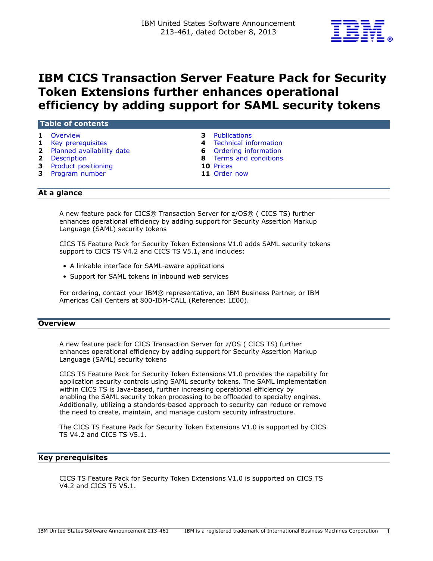

# **IBM CICS Transaction Server Feature Pack for Security Token Extensions further enhances operational efficiency by adding support for SAML security tokens**

| Table of contents |                                                                                                                                       |  |                                                                                                                                          |  |
|-------------------|---------------------------------------------------------------------------------------------------------------------------------------|--|------------------------------------------------------------------------------------------------------------------------------------------|--|
|                   | 1 Overview<br><b>1</b> Key prerequisites<br>2 Planned availability date<br>2 Description<br>3 Product positioning<br>3 Program number |  | <b>3</b> Publications<br>4 Technical information<br><b>6</b> Ordering information<br>8 Terms and conditions<br>10 Prices<br>11 Order now |  |
|                   |                                                                                                                                       |  |                                                                                                                                          |  |

# **At a glance**

A new feature pack for CICS® Transaction Server for z/OS® ( CICS TS) further enhances operational efficiency by adding support for Security Assertion Markup Language (SAML) security tokens

CICS TS Feature Pack for Security Token Extensions V1.0 adds SAML security tokens support to CICS TS V4.2 and CICS TS V5.1, and includes:

- A linkable interface for SAML-aware applications
- Support for SAML tokens in inbound web services

For ordering, contact your IBM® representative, an IBM Business Partner, or IBM Americas Call Centers at 800-IBM-CALL (Reference: LE00).

# <span id="page-0-0"></span>**Overview**

A new feature pack for CICS Transaction Server for z/OS ( CICS TS) further enhances operational efficiency by adding support for Security Assertion Markup Language (SAML) security tokens

CICS TS Feature Pack for Security Token Extensions V1.0 provides the capability for application security controls using SAML security tokens. The SAML implementation within CICS TS is Java-based, further increasing operational efficiency by enabling the SAML security token processing to be offloaded to specialty engines. Additionally, utilizing a standards-based approach to security can reduce or remove the need to create, maintain, and manage custom security infrastructure.

The CICS TS Feature Pack for Security Token Extensions V1.0 is supported by CICS TS V4.2 and CICS TS V5.1.

#### <span id="page-0-1"></span>**Key prerequisites**

CICS TS Feature Pack for Security Token Extensions V1.0 is supported on CICS TS V4.2 and CICS TS V5.1.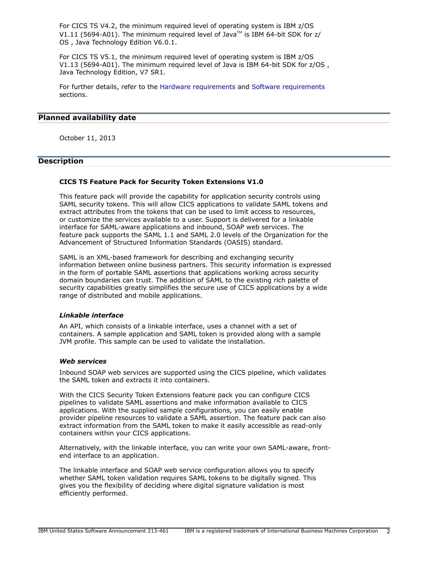For CICS TS V4.2, the minimum required level of operating system is IBM z/OS V1.11 (5694-A01). The minimum required level of Java<sup>TM</sup> is IBM 64-bit SDK for  $z/$ OS , Java Technology Edition V6.0.1.

For CICS TS V5.1, the minimum required level of operating system is IBM z/OS V1.13 (5694-A01). The minimum required level of Java is IBM 64-bit SDK for z/OS , Java Technology Edition, V7 SR1.

For further details, refer to the [Hardware requirements](#page-3-1) and [Software requirements](#page-3-2) sections.

# <span id="page-1-0"></span>**Planned availability date**

October 11, 2013

# <span id="page-1-1"></span>**Description**

# **CICS TS Feature Pack for Security Token Extensions V1.0**

This feature pack will provide the capability for application security controls using SAML security tokens. This will allow CICS applications to validate SAML tokens and extract attributes from the tokens that can be used to limit access to resources, or customize the services available to a user. Support is delivered for a linkable interface for SAML-aware applications and inbound, SOAP web services. The feature pack supports the SAML 1.1 and SAML 2.0 levels of the Organization for the Advancement of Structured Information Standards (OASIS) standard.

SAML is an XML-based framework for describing and exchanging security information between online business partners. This security information is expressed in the form of portable SAML assertions that applications working across security domain boundaries can trust. The addition of SAML to the existing rich palette of security capabilities greatly simplifies the secure use of CICS applications by a wide range of distributed and mobile applications.

## *Linkable interface*

An API, which consists of a linkable interface, uses a channel with a set of containers. A sample application and SAML token is provided along with a sample JVM profile. This sample can be used to validate the installation.

# *Web services*

Inbound SOAP web services are supported using the CICS pipeline, which validates the SAML token and extracts it into containers.

With the CICS Security Token Extensions feature pack you can configure CICS pipelines to validate SAML assertions and make information available to CICS applications. With the supplied sample configurations, you can easily enable provider pipeline resources to validate a SAML assertion. The feature pack can also extract information from the SAML token to make it easily accessible as read-only containers within your CICS applications.

Alternatively, with the linkable interface, you can write your own SAML-aware, frontend interface to an application.

The linkable interface and SOAP web service configuration allows you to specify whether SAML token validation requires SAML tokens to be digitally signed. This gives you the flexibility of deciding where digital signature validation is most efficiently performed.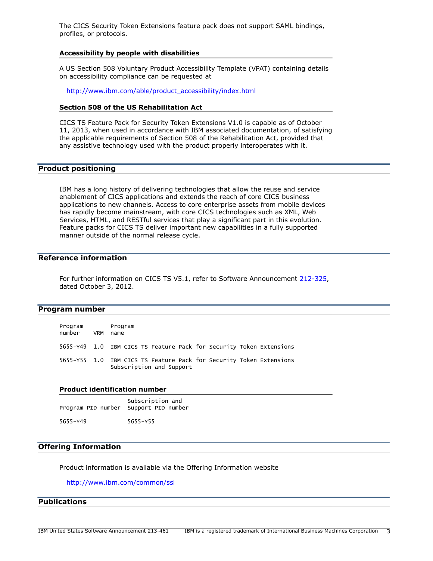The CICS Security Token Extensions feature pack does not support SAML bindings, profiles, or protocols.

#### **Accessibility by people with disabilities**

A US Section 508 Voluntary Product Accessibility Template (VPAT) containing details on accessibility compliance can be requested at

[http://www.ibm.com/able/product\\_accessibility/index.html](http://www.ibm.com/able/product_accessibility/index.html)

# **Section 508 of the US Rehabilitation Act**

CICS TS Feature Pack for Security Token Extensions V1.0 is capable as of October 11, 2013, when used in accordance with IBM associated documentation, of satisfying the applicable requirements of Section 508 of the Rehabilitation Act, provided that any assistive technology used with the product properly interoperates with it.

# <span id="page-2-1"></span>**Product positioning**

IBM has a long history of delivering technologies that allow the reuse and service enablement of CICS applications and extends the reach of core CICS business applications to new channels. Access to core enterprise assets from mobile devices has rapidly become mainstream, with core CICS technologies such as XML, Web Services, HTML, and RESTful services that play a significant part in this evolution. Feature packs for CICS TS deliver important new capabilities in a fully supported manner outside of the normal release cycle.

# **Reference information**

For further information on CICS TS V5.1, refer to Software Announcement [212-325](http://www.ibm.com/common/ssi/cgi-bin/ssialias?infotype=an&subtype=ca&appname=gpateam&supplier=897&letternum=ENUS212-325), dated October 3, 2012.

# <span id="page-2-2"></span>**Program number**

| Program<br>number | <b>VRM</b> | Program<br>name                                                                                 |
|-------------------|------------|-------------------------------------------------------------------------------------------------|
|                   |            | 5655-Y49 1.0 IBM CICS TS Feature Pack for Security Token Extensions                             |
|                   |            | 5655-Y55 1.0 IBM CICS TS Feature Pack for Security Token Extensions<br>Subscription and Support |

#### **Product identification number**

| Program PID number Support PID number | Subscription and |
|---------------------------------------|------------------|
| 5655-Y49                              | 5655-Y55         |

## **Offering Information**

Product information is available via the Offering Information website

# <http://www.ibm.com/common/ssi>

# <span id="page-2-0"></span>**Publications**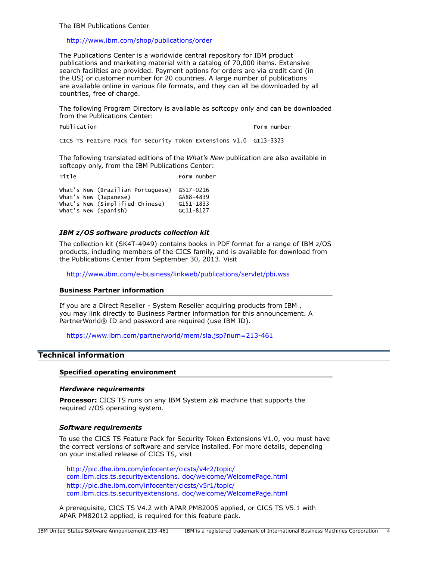The IBM Publications Center

#### <http://www.ibm.com/shop/publications/order>

The Publications Center is a worldwide central repository for IBM product publications and marketing material with a catalog of 70,000 items. Extensive search facilities are provided. Payment options for orders are via credit card (in the US) or customer number for 20 countries. A large number of publications are available online in various file formats, and they can all be downloaded by all countries, free of charge.

The following Program Directory is available as softcopy only and can be downloaded from the Publications Center:

Publication **Form number** Form number

CICS TS Feature Pack for Security Token Extensions V1.0 GI13-3323

The following translated editions of the *What's New* publication are also available in softcopy only, from the IBM Publications Center:

Title Form number

|  | what's New (Brazilian Portuguese) G517-0216 |               |
|--|---------------------------------------------|---------------|
|  | What's New (Japanese)                       | GA88-4839     |
|  | What's New (Simplified Chinese)             | G151-1833     |
|  | What's New (Spanish)                        | $GC11 - 8127$ |

# *IBM z/OS software products collection kit*

The collection kit (SK4T-4949) contains books in PDF format for a range of IBM z/OS products, including members of the CICS family, and is available for download from the Publications Center from September 30, 2013. Visit

<http://www.ibm.com/e-business/linkweb/publications/servlet/pbi.wss>

#### **Business Partner information**

If you are a Direct Reseller - System Reseller acquiring products from IBM , you may link directly to Business Partner information for this announcement. A PartnerWorld® ID and password are required (use IBM ID).

<https://www.ibm.com/partnerworld/mem/sla.jsp?num=213-461>

# <span id="page-3-0"></span>**Technical information**

#### **Specified operating environment**

#### <span id="page-3-1"></span>*Hardware requirements*

**Processor:** CICS TS runs on any IBM System z® machine that supports the required z/OS operating system.

#### <span id="page-3-2"></span>*Software requirements*

To use the CICS TS Feature Pack for Security Token Extensions V1.0, you must have the correct versions of software and service installed. For more details, depending on your installed release of CICS TS, visit

[http://pic.dhe.ibm.com/infocenter/cicsts/v4r2/topic/](http://pic.dhe.ibm.com/infocenter/cicsts/v4r2/topic/com.ibm.cics.ts.securityextensions.doc/welcome/WelcomePage.html) [com.ibm.cics.ts.securityextensions. doc/welcome/WelcomePage.html](http://pic.dhe.ibm.com/infocenter/cicsts/v4r2/topic/com.ibm.cics.ts.securityextensions.doc/welcome/WelcomePage.html) [http://pic.dhe.ibm.com/infocenter/cicsts/v5r1/topic/](http://pic.dhe.ibm.com/infocenter/cicsts/v5r1/topic/com.ibm.cics.ts.securityextensions.doc/welcome/WelcomePage.html) [com.ibm.cics.ts.securityextensions. doc/welcome/WelcomePage.html](http://pic.dhe.ibm.com/infocenter/cicsts/v5r1/topic/com.ibm.cics.ts.securityextensions.doc/welcome/WelcomePage.html)

A prerequisite, CICS TS V4.2 with APAR PM82005 applied, or CICS TS V5.1 with APAR PM82012 applied, is required for this feature pack.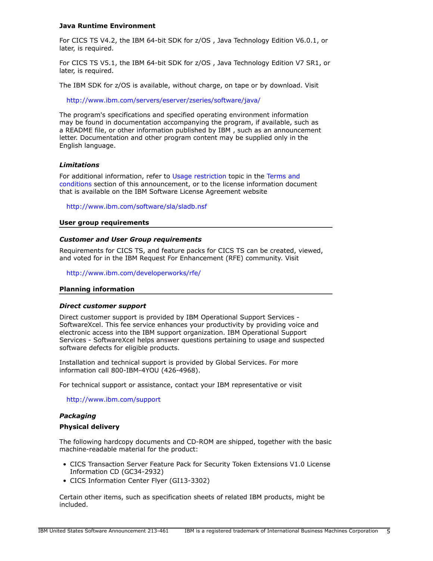## **Java Runtime Environment**

For CICS TS V4.2, the IBM 64-bit SDK for z/OS , Java Technology Edition V6.0.1, or later, is required.

For CICS TS V5.1, the IBM 64-bit SDK for z/OS , Java Technology Edition V7 SR1, or later, is required.

The IBM SDK for z/OS is available, without charge, on tape or by download. Visit

<http://www.ibm.com/servers/eserver/zseries/software/java/>

The program's specifications and specified operating environment information may be found in documentation accompanying the program, if available, such as a README file, or other information published by IBM , such as an announcement letter. Documentation and other program content may be supplied only in the English language.

#### *Limitations*

For additional information, refer to [Usage restriction](#page-8-0) topic in the [Terms and](#page-7-0) [conditions](#page-7-0) section of this announcement, or to the license information document that is available on the IBM Software License Agreement website

<http://www.ibm.com/software/sla/sladb.nsf>

#### **User group requirements**

#### *Customer and User Group requirements*

Requirements for CICS TS, and feature packs for CICS TS can be created, viewed, and voted for in the IBM Request For Enhancement (RFE) community. Visit

<http://www.ibm.com/developerworks/rfe/>

#### **Planning information**

#### *Direct customer support*

Direct customer support is provided by IBM Operational Support Services - SoftwareXcel. This fee service enhances your productivity by providing voice and electronic access into the IBM support organization. IBM Operational Support Services - SoftwareXcel helps answer questions pertaining to usage and suspected software defects for eligible products.

Installation and technical support is provided by Global Services. For more information call 800-IBM-4YOU (426-4968).

For technical support or assistance, contact your IBM representative or visit

<http://www.ibm.com/support>

#### *Packaging*

#### **Physical delivery**

The following hardcopy documents and CD-ROM are shipped, together with the basic machine-readable material for the product:

- CICS Transaction Server Feature Pack for Security Token Extensions V1.0 License Information CD (GC34-2932)
- CICS Information Center Flyer (GI13-3302)

Certain other items, such as specification sheets of related IBM products, might be included.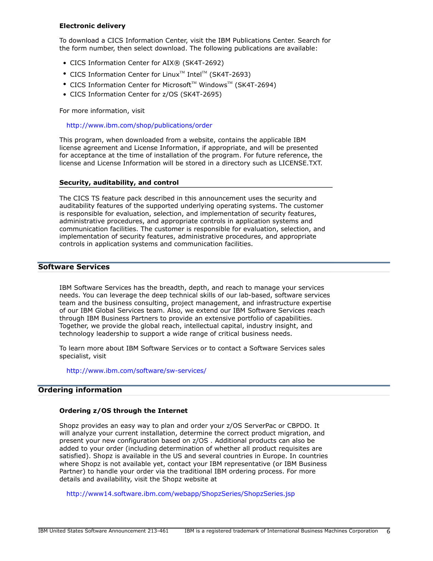# **Electronic delivery**

To download a CICS Information Center, visit the IBM Publications Center. Search for the form number, then select download. The following publications are available:

- CICS Information Center for AIX® (SK4T-2692)
- CICS Information Center for Linux<sup>™</sup> Intel<sup>™</sup> (SK4T-2693)
- CICS Information Center for Microsoft<sup>™</sup> Windows<sup>™</sup> (SK4T-2694)
- CICS Information Center for z/OS (SK4T-2695)

For more information, visit

<http://www.ibm.com/shop/publications/order>

This program, when downloaded from a website, contains the applicable IBM license agreement and License Information, if appropriate, and will be presented for acceptance at the time of installation of the program. For future reference, the license and License Information will be stored in a directory such as LICENSE.TXT.

#### **Security, auditability, and control**

The CICS TS feature pack described in this announcement uses the security and auditability features of the supported underlying operating systems. The customer is responsible for evaluation, selection, and implementation of security features, administrative procedures, and appropriate controls in application systems and communication facilities. The customer is responsible for evaluation, selection, and implementation of security features, administrative procedures, and appropriate controls in application systems and communication facilities.

# **Software Services**

IBM Software Services has the breadth, depth, and reach to manage your services needs. You can leverage the deep technical skills of our lab-based, software services team and the business consulting, project management, and infrastructure expertise of our IBM Global Services team. Also, we extend our IBM Software Services reach through IBM Business Partners to provide an extensive portfolio of capabilities. Together, we provide the global reach, intellectual capital, industry insight, and technology leadership to support a wide range of critical business needs.

To learn more about IBM Software Services or to contact a Software Services sales specialist, visit

<http://www.ibm.com/software/sw-services/>

# <span id="page-5-0"></span>**Ordering information**

#### **Ordering z/OS through the Internet**

Shopz provides an easy way to plan and order your z/OS ServerPac or CBPDO. It will analyze your current installation, determine the correct product migration, and present your new configuration based on z/OS . Additional products can also be added to your order (including determination of whether all product requisites are satisfied). Shopz is available in the US and several countries in Europe. In countries where Shopz is not available yet, contact your IBM representative (or IBM Business Partner) to handle your order via the traditional IBM ordering process. For more details and availability, visit the Shopz website at

<http://www14.software.ibm.com/webapp/ShopzSeries/ShopzSeries.jsp>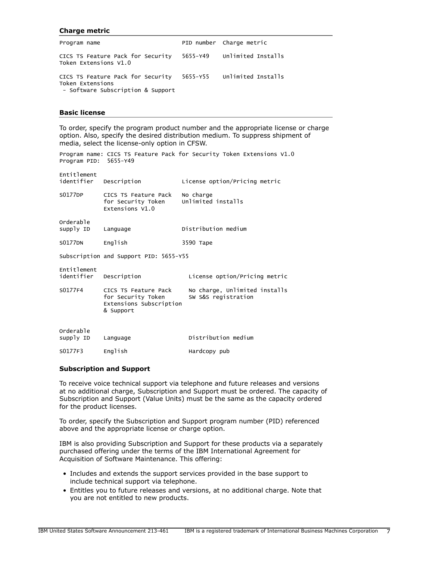#### **Charge metric**

| Program name                                                                                                           | PID number Charge metric |
|------------------------------------------------------------------------------------------------------------------------|--------------------------|
| CICS TS Feature Pack for Security 5655-Y49 Unlimited Installs<br>Token Extensions V1.0                                 |                          |
| CICS TS Feature Pack for Security 5655-Y55 Unlimited Installs<br>Token Extensions<br>- Software Subscription & Support |                          |

Program name: CICS TS Feature Pack for Security Token Extensions V1.0

## **Basic license**

To order, specify the program product number and the appropriate license or charge option. Also, specify the desired distribution medium. To suppress shipment of media, select the license-only option in CFSW.

| Program PID: 5655-Y49                  |                                                                                    |                                                      |
|----------------------------------------|------------------------------------------------------------------------------------|------------------------------------------------------|
| Entitlement<br>identifier Description  |                                                                                    | License option/Pricing metric                        |
| S0177DP                                | CICS TS Feature Pack<br>for Security Token<br>Extensions V1.0                      | No charge<br>Unlimited installs                      |
| Orderable<br>supply ID                 | Language                                                                           | Distribution medium                                  |
| <b>S0177DN</b>                         | English                                                                            | 3590 Tape                                            |
| Subscription and Support PID: 5655-Y55 |                                                                                    |                                                      |
| Entitlement<br>identifier Description  |                                                                                    | License option/Pricing metric                        |
| S0177F4                                | CICS TS Feature Pack<br>for Security Token<br>Extensions Subscription<br>& Support | No charge, Unlimited installs<br>SW S&S registration |
| Orderable<br>supply ID                 | Language                                                                           | Distribution medium                                  |
| S0177F3                                | English                                                                            | Hardcopy pub                                         |

#### **Subscription and Support**

To receive voice technical support via telephone and future releases and versions at no additional charge, Subscription and Support must be ordered. The capacity of Subscription and Support (Value Units) must be the same as the capacity ordered for the product licenses.

To order, specify the Subscription and Support program number (PID) referenced above and the appropriate license or charge option.

IBM is also providing Subscription and Support for these products via a separately purchased offering under the terms of the IBM International Agreement for Acquisition of Software Maintenance. This offering:

- Includes and extends the support services provided in the base support to include technical support via telephone.
- Entitles you to future releases and versions, at no additional charge. Note that you are not entitled to new products.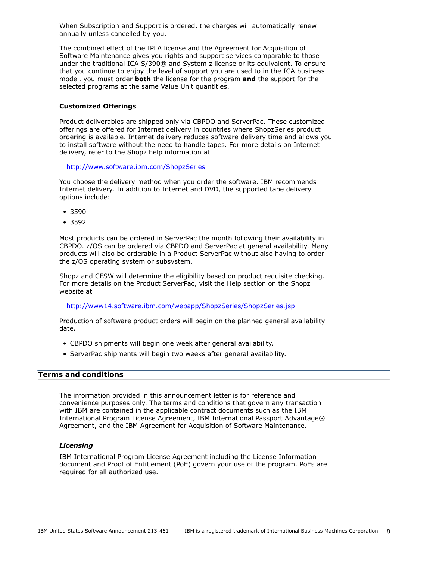When Subscription and Support is ordered, the charges will automatically renew annually unless cancelled by you.

The combined effect of the IPLA license and the Agreement for Acquisition of Software Maintenance gives you rights and support services comparable to those under the traditional ICA S/390® and System z license or its equivalent. To ensure that you continue to enjoy the level of support you are used to in the ICA business model, you must order **both** the license for the program **and** the support for the selected programs at the same Value Unit quantities.

#### **Customized Offerings**

Product deliverables are shipped only via CBPDO and ServerPac. These customized offerings are offered for Internet delivery in countries where ShopzSeries product ordering is available. Internet delivery reduces software delivery time and allows you to install software without the need to handle tapes. For more details on Internet delivery, refer to the Shopz help information at

### <http://www.software.ibm.com/ShopzSeries>

You choose the delivery method when you order the software. IBM recommends Internet delivery. In addition to Internet and DVD, the supported tape delivery options include:

- 3590
- 3592

Most products can be ordered in ServerPac the month following their availability in CBPDO. z/OS can be ordered via CBPDO and ServerPac at general availability. Many products will also be orderable in a Product ServerPac without also having to order the z/OS operating system or subsystem.

Shopz and CFSW will determine the eligibility based on product requisite checking. For more details on the Product ServerPac, visit the Help section on the Shopz website at

#### <http://www14.software.ibm.com/webapp/ShopzSeries/ShopzSeries.jsp>

Production of software product orders will begin on the planned general availability date.

- CBPDO shipments will begin one week after general availability.
- ServerPac shipments will begin two weeks after general availability.

# <span id="page-7-0"></span>**Terms and conditions**

The information provided in this announcement letter is for reference and convenience purposes only. The terms and conditions that govern any transaction with IBM are contained in the applicable contract documents such as the IBM International Program License Agreement, IBM International Passport Advantage® Agreement, and the IBM Agreement for Acquisition of Software Maintenance.

#### *Licensing*

IBM International Program License Agreement including the License Information document and Proof of Entitlement (PoE) govern your use of the program. PoEs are required for all authorized use.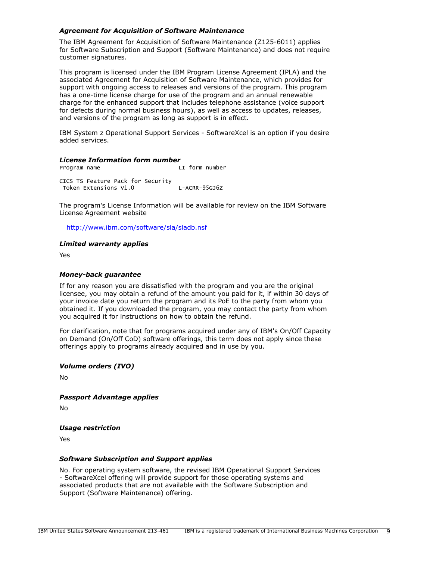# *Agreement for Acquisition of Software Maintenance*

The IBM Agreement for Acquisition of Software Maintenance (Z125-6011) applies for Software Subscription and Support (Software Maintenance) and does not require customer signatures.

This program is licensed under the IBM Program License Agreement (IPLA) and the associated Agreement for Acquisition of Software Maintenance, which provides for support with ongoing access to releases and versions of the program. This program has a one-time license charge for use of the program and an annual renewable charge for the enhanced support that includes telephone assistance (voice support for defects during normal business hours), as well as access to updates, releases, and versions of the program as long as support is in effect.

IBM System z Operational Support Services - SoftwareXcel is an option if you desire added services.

# *License Information form number*

Program name LI form number CICS TS Feature Pack for Security Token Extensions V1.0 L-ACRR-95GJ6Z

The program's License Information will be available for review on the IBM Software License Agreement website

<http://www.ibm.com/software/sla/sladb.nsf>

## *Limited warranty applies*

Yes

#### *Money-back guarantee*

If for any reason you are dissatisfied with the program and you are the original licensee, you may obtain a refund of the amount you paid for it, if within 30 days of your invoice date you return the program and its PoE to the party from whom you obtained it. If you downloaded the program, you may contact the party from whom you acquired it for instructions on how to obtain the refund.

For clarification, note that for programs acquired under any of IBM's On/Off Capacity on Demand (On/Off CoD) software offerings, this term does not apply since these offerings apply to programs already acquired and in use by you.

# *Volume orders (IVO)*

No

*Passport Advantage applies*

No

#### <span id="page-8-0"></span>*Usage restriction*

Yes

#### *Software Subscription and Support applies*

No. For operating system software, the revised IBM Operational Support Services - SoftwareXcel offering will provide support for those operating systems and associated products that are not available with the Software Subscription and Support (Software Maintenance) offering.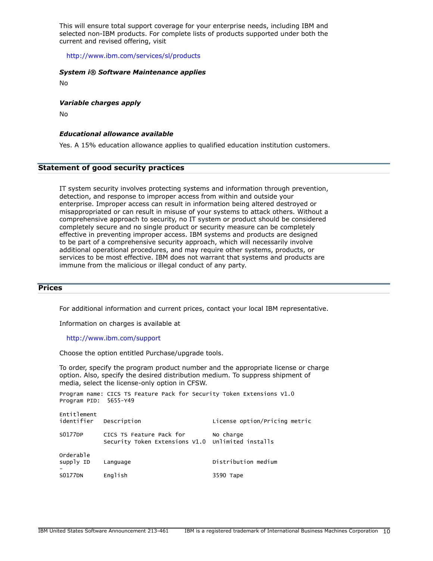This will ensure total support coverage for your enterprise needs, including IBM and selected non-IBM products. For complete lists of products supported under both the current and revised offering, visit

<http://www.ibm.com/services/sl/products>

#### *System i® Software Maintenance applies*

No

#### *Variable charges apply*

No

## *Educational allowance available*

Yes. A 15% education allowance applies to qualified education institution customers.

# **Statement of good security practices**

IT system security involves protecting systems and information through prevention, detection, and response to improper access from within and outside your enterprise. Improper access can result in information being altered destroyed or misappropriated or can result in misuse of your systems to attack others. Without a comprehensive approach to security, no IT system or product should be considered completely secure and no single product or security measure can be completely effective in preventing improper access. IBM systems and products are designed to be part of a comprehensive security approach, which will necessarily involve additional operational procedures, and may require other systems, products, or services to be most effective. IBM does not warrant that systems and products are immune from the malicious or illegal conduct of any party.

# <span id="page-9-0"></span>**Prices**

For additional information and current prices, contact your local IBM representative.

Information on charges is available at

#### <http://www.ibm.com/support>

Choose the option entitled Purchase/upgrade tools.

To order, specify the program product number and the appropriate license or charge option. Also, specify the desired distribution medium. To suppress shipment of media, select the license-only option in CFSW.

Program name: CICS TS Feature Pack for Security Token Extensions V1.0 Program PID: 5655-Y49

| Entitlement<br>identifier | Description                                                                   | License option/Pricing metric |
|---------------------------|-------------------------------------------------------------------------------|-------------------------------|
| S0177DP                   | CICS TS Feature Pack for<br>Security Token Extensions V1.0 Unlimited installs | No charge                     |
| Orderable<br>supply ID    | Language                                                                      | Distribution medium           |
| <b>S0177DN</b>            | English                                                                       | 3590 Tape                     |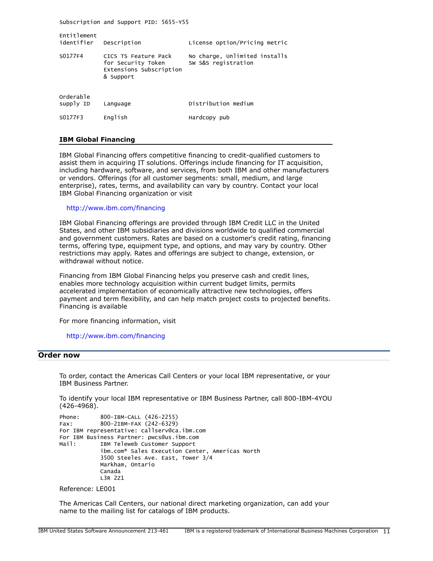Subscription and Support PID: 5655-Y55

| Entitlement<br>identifier | Description                                                                        | License option/Pricing metric                        |
|---------------------------|------------------------------------------------------------------------------------|------------------------------------------------------|
| S0177F4                   | CICS TS Feature Pack<br>for Security Token<br>Extensions Subscription<br>& Support | No charge, Unlimited installs<br>SW S&S registration |
| Orderable<br>supply ID    | Language                                                                           | Distribution medium                                  |
| S0177F3                   | English                                                                            | Hardcopy pub                                         |

#### **IBM Global Financing**

IBM Global Financing offers competitive financing to credit-qualified customers to assist them in acquiring IT solutions. Offerings include financing for IT acquisition, including hardware, software, and services, from both IBM and other manufacturers or vendors. Offerings (for all customer segments: small, medium, and large enterprise), rates, terms, and availability can vary by country. Contact your local IBM Global Financing organization or visit

<http://www.ibm.com/financing>

IBM Global Financing offerings are provided through IBM Credit LLC in the United States, and other IBM subsidiaries and divisions worldwide to qualified commercial and government customers. Rates are based on a customer's credit rating, financing terms, offering type, equipment type, and options, and may vary by country. Other restrictions may apply. Rates and offerings are subject to change, extension, or withdrawal without notice.

Financing from IBM Global Financing helps you preserve cash and credit lines, enables more technology acquisition within current budget limits, permits accelerated implementation of economically attractive new technologies, offers payment and term flexibility, and can help match project costs to projected benefits. Financing is available

For more financing information, visit

<http://www.ibm.com/financing>

# <span id="page-10-0"></span>**Order now**

To order, contact the Americas Call Centers or your local IBM representative, or your IBM Business Partner.

To identify your local IBM representative or IBM Business Partner, call 800-IBM-4YOU (426-4968).

```
Phone: 800-IBM-CALL (426-2255)
Fax: 800-2IBM-FAX (242-6329)
For IBM representative: callserv@ca.ibm.com
For IBM Business Partner: pwcs@us.ibm.com
Mail: IBM Teleweb Customer Support
            ibm.com® Sales Execution Center, Americas North
            3500 Steeles Ave. East, Tower 3/4
            Markham, Ontario
            Canada
            L3R 2Z1
```
Reference: LE001

The Americas Call Centers, our national direct marketing organization, can add your name to the mailing list for catalogs of IBM products.